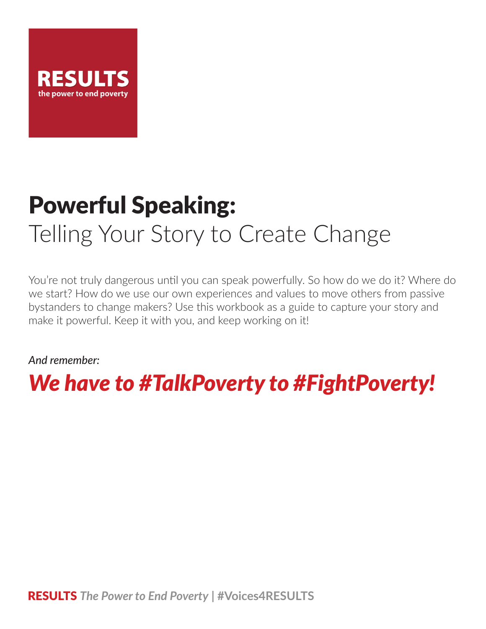

### Powerful Speaking: Telling Your Story to Create Change

You're not truly dangerous until you can speak powerfully. So how do we do it? Where do we start? How do we use our own experiences and values to move others from passive bystanders to change makers? Use this workbook as a guide to capture your story and make it powerful. Keep it with you, and keep working on it!

*And remember:*

*We have to #TalkPoverty to #FightPoverty!*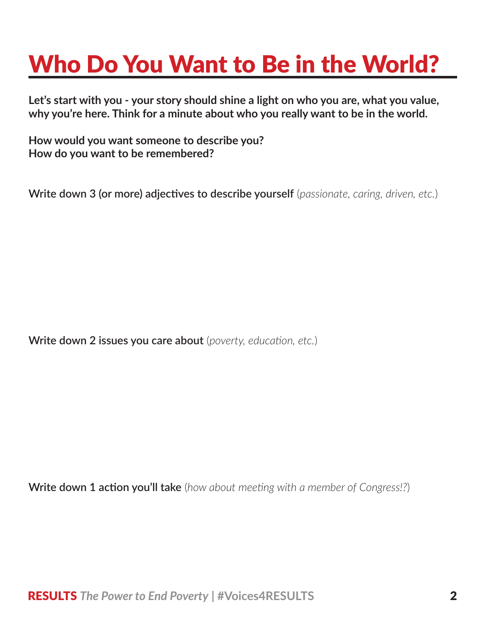## Who Do You Want to Be in the World?

**Let's start with you - your story should shine a light on who you are, what you value, why you're here. Think for a minute about who you really want to be in the world.** 

**How would you want someone to describe you? How do you want to be remembered?**

**Write down 3 (or more) adjectives to describe yourself** (*passionate, caring, driven, etc.*)

**Write down 2 issues you care about** (*poverty, education, etc.*)

**Write down 1 action you'll take** (*how about meeting with a member of Congress!?*)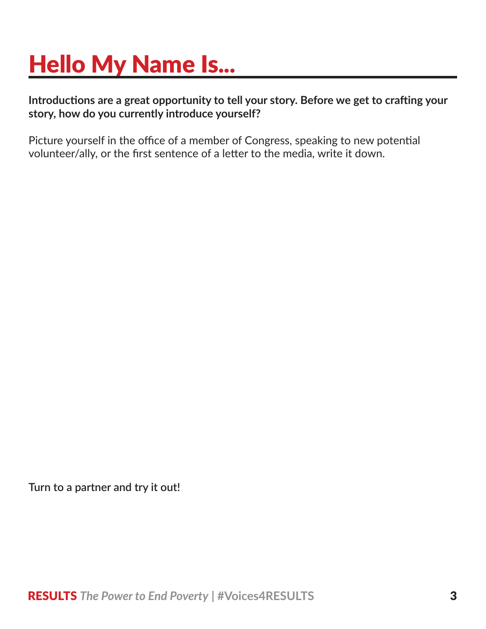## Hello My Name Is...

**Introductions are a great opportunity to tell your story. Before we get to crafting your story, how do you currently introduce yourself?** 

Picture yourself in the office of a member of Congress, speaking to new potential volunteer/ally, or the first sentence of a letter to the media, write it down.

**Turn to a partner and try it out!**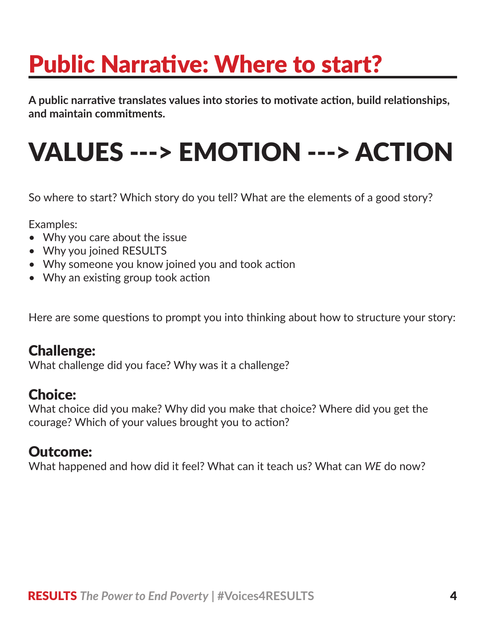## Public Narrative: Where to start?

**A public narrative translates values into stories to motivate action, build relationships, and maintain commitments.** 

# VALUES ---> EMOTION ---> ACTION

So where to start? Which story do you tell? What are the elements of a good story?

Examples:

- Why you care about the issue
- Why you joined RESULTS
- Why someone you know joined you and took action
- Why an existing group took action

Here are some questions to prompt you into thinking about how to structure your story:

#### Challenge:

What challenge did you face? Why was it a challenge?

#### Choice:

What choice did you make? Why did you make that choice? Where did you get the courage? Which of your values brought you to action?

#### Outcome:

What happened and how did it feel? What can it teach us? What can *WE* do now?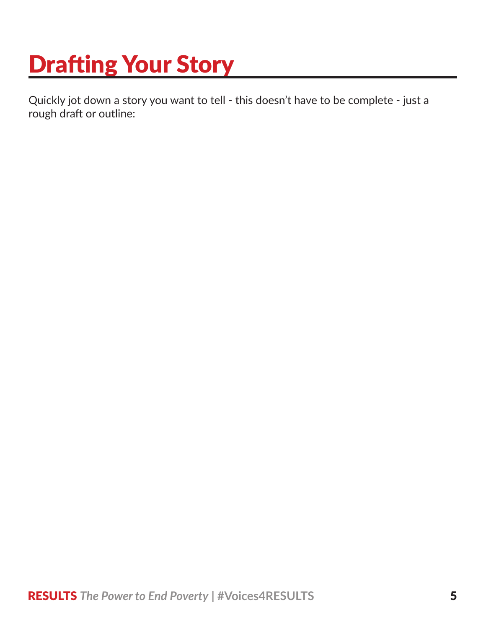## **Drafting Your Story**

Quickly jot down a story you want to tell - this doesn't have to be complete - just a rough draft or outline: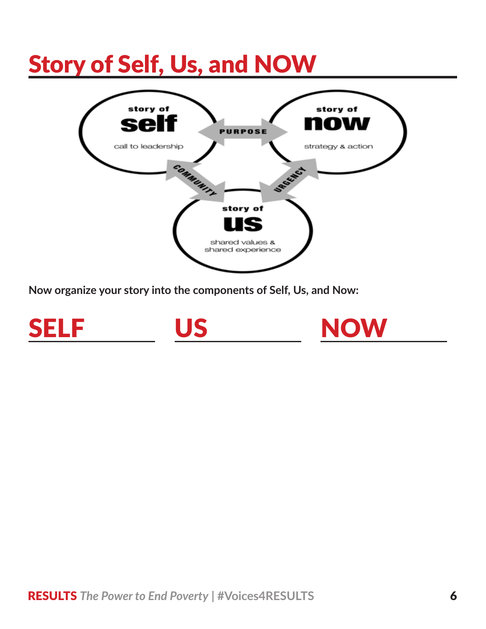### Story of Self, Us, and NOW



**Now organize your story into the components of Self, Us, and Now:** 

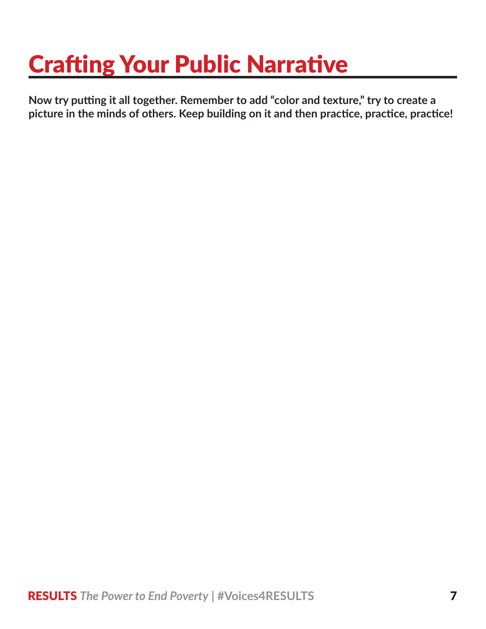## Crafting Your Public Narrative

**Now try putting it all together. Remember to add "color and texture," try to create a picture in the minds of others. Keep building on it and then practice, practice, practice!**